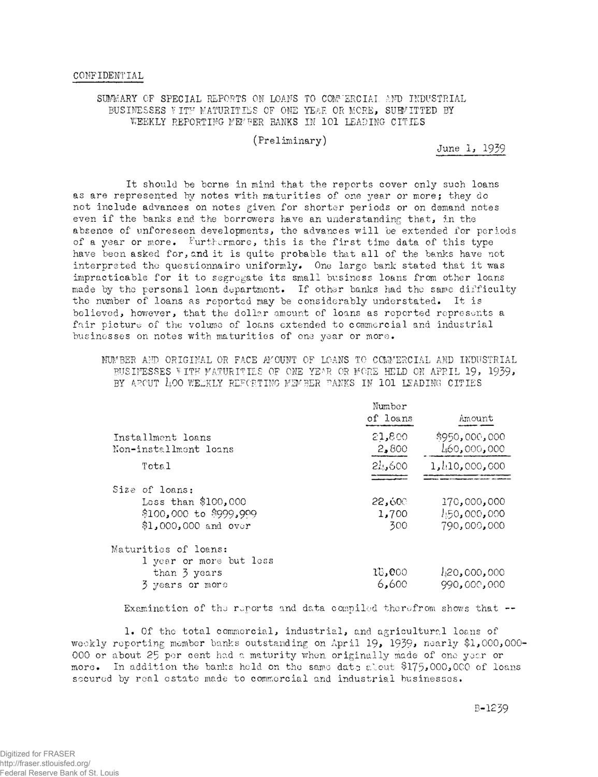## SUMMARY OF SPECIAL REPORTS ON LOANS TO COMMERCIAL AND INDUSTRIAL BUSINESSES Y.ITF MATURITIES OF ONE YEAR OR MORE, SUBMITTED BY WEEKLY REPORTING MEMBER BANKS IN 101 LEADING CITIES

## (Preliminary)

June 1, 1939

It should be borne in mind that the reports cover only such loans as are represented by notes with maturities of one year or more; they do not include advances on notes given for shorter periods or on demand notes even if the banks and the borrowers have an understanding that, in the absence of unforeseen developments, the advances will be extended for periods of a year or more. Furthermore, this is the first time data of this type have been asked for, and it is quite probable that all of the banks have not interpreted the questionnaire uniformly. One large bank stated that it was impracticable for it to segregate its small business loans from other loans made by the personal loan department. If other banks had the same difficulty the number of loans as reported may be considerably understated. It is believed, however, that the dollar amount of loans as reported represents a fair picture of the volume of loans extended to commercial and industrial businesses on notes with maturities of one year or more.

NUMBER AMD ORIGINAL OR FACE AMOUNT OF LOANS TO COMMERCIAL AND INDUSTRIAL BUSINESSES WITH MATURITIES OF ONE YEAR OR MORE HELD ON APRIL 19, 1939, BY ABOUT 400 WEEKLY REPORTING MEMBER BANKS IN 101 LEADING CITIES

|                                                                                          | Number<br>of loans     | Amount                                    |
|------------------------------------------------------------------------------------------|------------------------|-------------------------------------------|
| Installment loans<br>Non-installment loans                                               | 21,800<br>2,800        | \$950,000,000<br>460,000,000              |
| Total                                                                                    | 24,600                 | $1, l$ 10,000,000                         |
| Size of loans:<br>Loss than \$100,000<br>\$100,000 to \$999,909<br>$$1,000,000$ and over | 22,600<br>1,700<br>300 | 170,000,000<br>450,000,000<br>790,000,000 |
| Maturities of loans:<br>1 year or more but less<br>than 3 years<br>3 years or more       | 18,000<br>6,600        | 1,20,000,000<br>990,000,000               |

Examination of the reports and data compiled therefrom shows that —

1. Of the total commercial, industrial, and agricultural loans of weekly reporting member banks outstanding on April 19, 1939, nearly \$1,000,000- 000 or about 25 por cent had a maturity when originally made of one year or more. In addition the banks held on the same date about  $$175,000,000$  of loans secured by real estate made to commercial and industrial businesses.